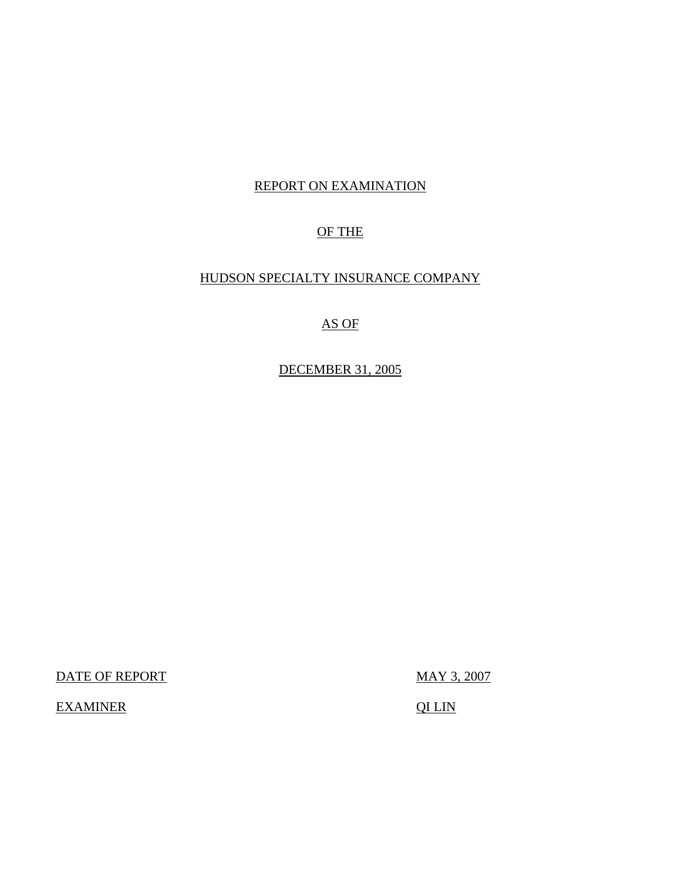## REPORT ON EXAMINATION

## OF THE

## HUDSON SPECIALTY INSURANCE COMPANY

## AS OF

## DECEMBER 31, 2005

DATE OF REPORT MAY 3, 2007

EXAMINER QILIN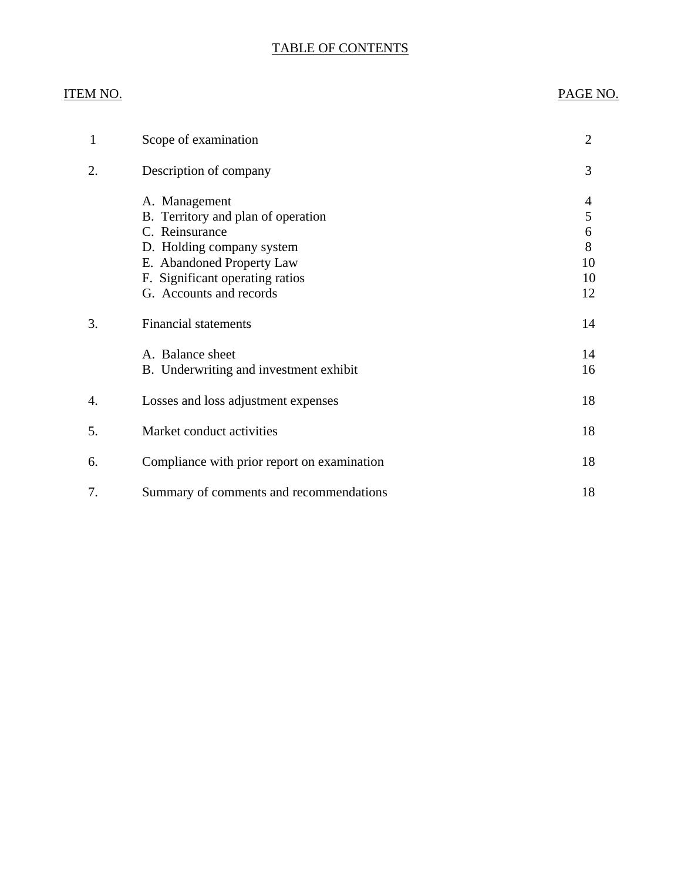## TABLE OF CONTENTS

## **ITEM NO.**

## PAGE NO.

| 1  | Scope of examination                                                                                                                                                                          | $\overline{2}$                     |
|----|-----------------------------------------------------------------------------------------------------------------------------------------------------------------------------------------------|------------------------------------|
| 2. | Description of company                                                                                                                                                                        | 3                                  |
|    | A. Management<br>B. Territory and plan of operation<br>C. Reinsurance<br>D. Holding company system<br>E. Abandoned Property Law<br>F. Significant operating ratios<br>G. Accounts and records | 4<br>5<br>6<br>8<br>10<br>10<br>12 |
| 3. | <b>Financial statements</b>                                                                                                                                                                   | 14                                 |
|    | A. Balance sheet<br>B. Underwriting and investment exhibit                                                                                                                                    | 14<br>16                           |
| 4. | Losses and loss adjustment expenses                                                                                                                                                           | 18                                 |
| 5. | Market conduct activities                                                                                                                                                                     | 18                                 |
| 6. | Compliance with prior report on examination                                                                                                                                                   | 18                                 |
| 7. | Summary of comments and recommendations                                                                                                                                                       | 18                                 |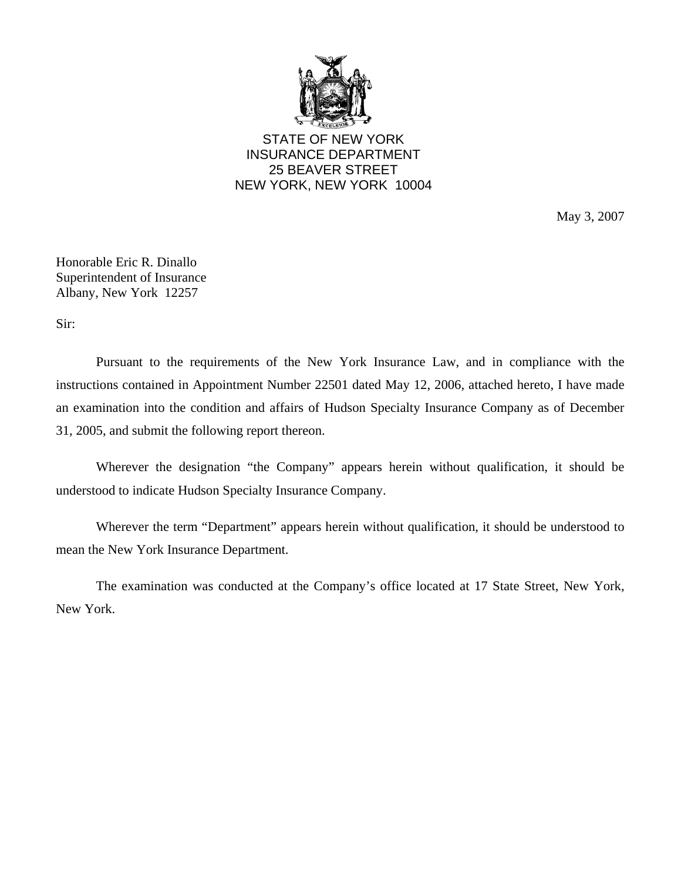

STATE OF NEW YORK INSURANCE DEPARTMENT 25 BEAVER STREET NEW YORK, NEW YORK 10004

May 3, 2007

Honorable Eric R. Dinallo Superintendent of Insurance Albany, New York 12257

Sir:

Pursuant to the requirements of the New York Insurance Law, and in compliance with the instructions contained in Appointment Number 22501 dated May 12, 2006, attached hereto, I have made an examination into the condition and affairs of Hudson Specialty Insurance Company as of December 31, 2005, and submit the following report thereon.

Wherever the designation "the Company" appears herein without qualification, it should be understood to indicate Hudson Specialty Insurance Company.

Wherever the term "Department" appears herein without qualification, it should be understood to mean the New York Insurance Department.

The examination was conducted at the Company's office located at 17 State Street, New York, New York.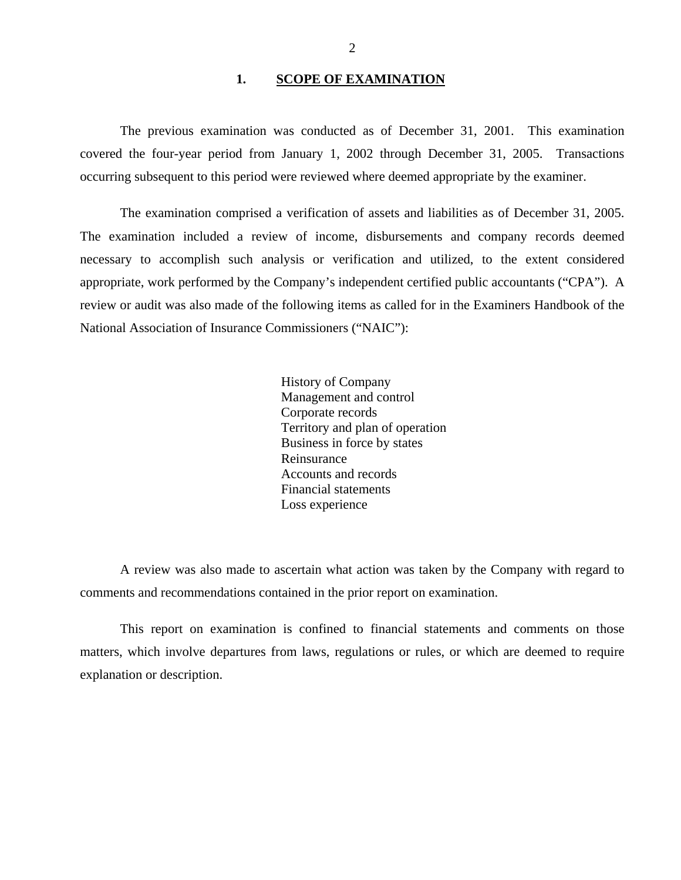## **1. SCOPE OF EXAMINATION**

<span id="page-3-0"></span>The previous examination was conducted as of December 31, 2001. This examination covered the four-year period from January 1, 2002 through December 31, 2005. Transactions occurring subsequent to this period were reviewed where deemed appropriate by the examiner.

The examination comprised a verification of assets and liabilities as of December 31, 2005. The examination included a review of income, disbursements and company records deemed necessary to accomplish such analysis or verification and utilized, to the extent considered appropriate, work performed by the Company's independent certified public accountants ("CPA"). A review or audit was also made of the following items as called for in the Examiners Handbook of the National Association of Insurance Commissioners ("NAIC"):

> History of Company Management and control Corporate records Territory and plan of operation Business in force by states Reinsurance Accounts and records Financial statements Loss experience

A review was also made to ascertain what action was taken by the Company with regard to comments and recommendations contained in the prior report on examination.

This report on examination is confined to financial statements and comments on those matters, which involve departures from laws, regulations or rules, or which are deemed to require explanation or description.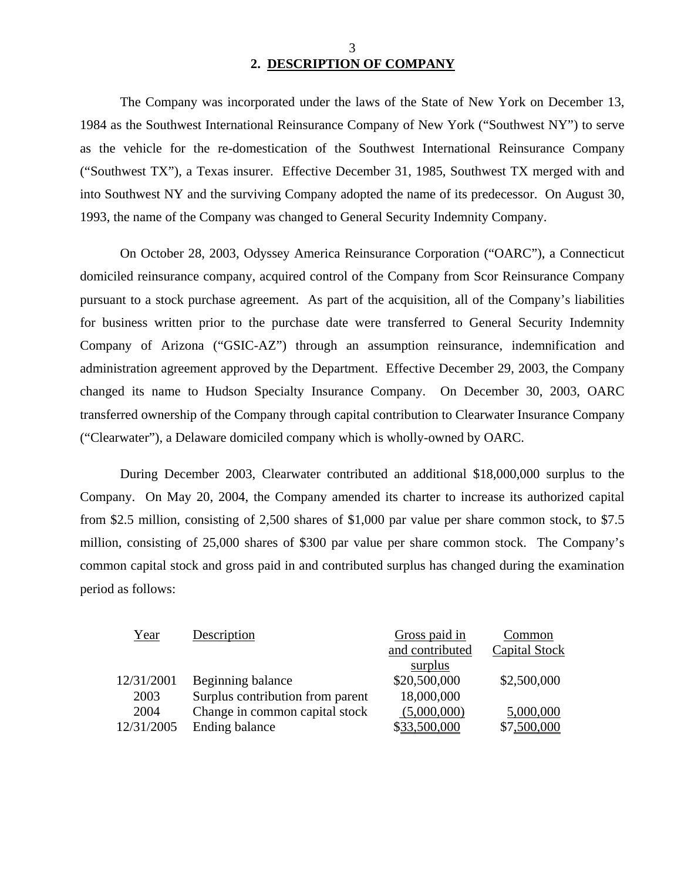# **2. DESCRIPTION OF COMPANY**

The Company was incorporated under the laws of the State of New York on December 13, 1984 as the Southwest International Reinsurance Company of New York ("Southwest NY") to serve as the vehicle for the re-domestication of the Southwest International Reinsurance Company ("Southwest TX"), a Texas insurer. Effective December 31, 1985, Southwest TX merged with and into Southwest NY and the surviving Company adopted the name of its predecessor. On August 30, 1993, the name of the Company was changed to General Security Indemnity Company.

On October 28, 2003, Odyssey America Reinsurance Corporation ("OARC"), a Connecticut domiciled reinsurance company, acquired control of the Company from Scor Reinsurance Company pursuant to a stock purchase agreement. As part of the acquisition, all of the Company's liabilities for business written prior to the purchase date were transferred to General Security Indemnity Company of Arizona ("GSIC-AZ") through an assumption reinsurance, indemnification and administration agreement approved by the Department. Effective December 29, 2003, the Company changed its name to Hudson Specialty Insurance Company. On December 30, 2003, OARC transferred ownership of the Company through capital contribution to Clearwater Insurance Company ("Clearwater"), a Delaware domiciled company which is wholly-owned by OARC.

During December 2003, Clearwater contributed an additional \$18,000,000 surplus to the Company. On May 20, 2004, the Company amended its charter to increase its authorized capital from \$2.5 million, consisting of 2,500 shares of \$1,000 par value per share common stock, to \$7.5 million, consisting of 25,000 shares of \$300 par value per share common stock. The Company's common capital stock and gross paid in and contributed surplus has changed during the examination period as follows:

| Year       | Description                      | Gross paid in   | Common        |
|------------|----------------------------------|-----------------|---------------|
|            |                                  | and contributed | Capital Stock |
|            |                                  | surplus         |               |
| 12/31/2001 | Beginning balance                | \$20,500,000    | \$2,500,000   |
| 2003       | Surplus contribution from parent | 18,000,000      |               |
| 2004       | Change in common capital stock   | (5,000,000)     | 5,000,000     |
| 12/31/2005 | Ending balance                   | \$33,500,000    | \$7,500,000   |

3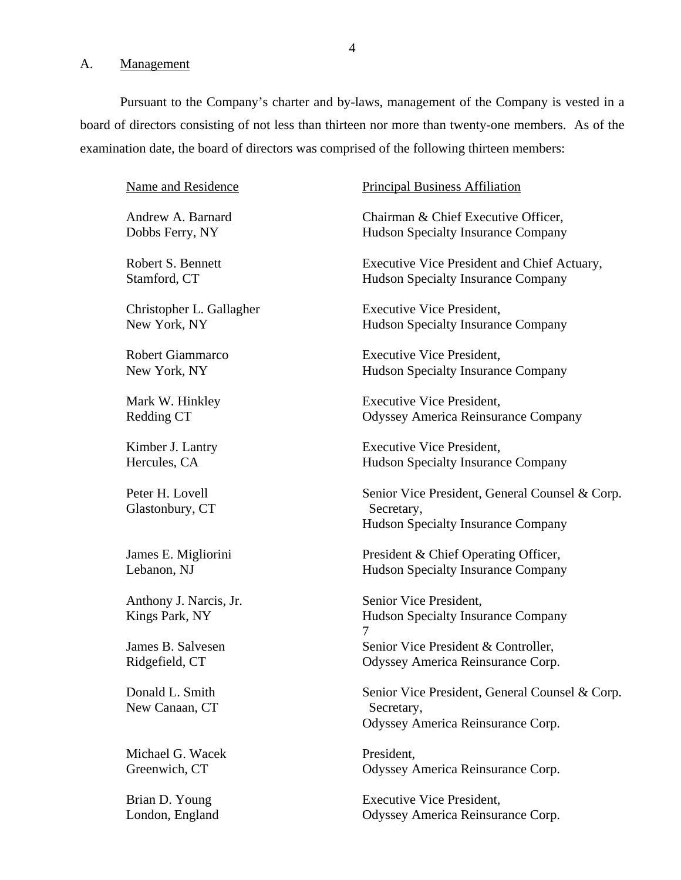<span id="page-5-0"></span>A. Management

Pursuant to the Company's charter and by-laws, management of the Company is vested in a board of directors consisting of not less than thirteen nor more than twenty-one members. As of the examination date, the board of directors was comprised of the following thirteen members:

Name and Residence

Andrew A. Barnard Dobbs Ferry, NY

Robert S. Bennett Stamford, CT

Christopher L. Gallagher New York, NY

Robert Giammarco New York, NY

Mark W. Hinkley Redding CT

Kimber J. Lantry Hercules, CA

Peter H. Lovell Glastonbury, CT

James E. Migliorini Lebanon, NJ

Anthony J. Narcis, Jr. Kings Park, NY

James B. Salvesen Ridgefield, CT

Donald L. Smith New Canaan, CT

Michael G. Wacek Greenwich, CT

#### Principal Business Affiliation

Chairman & Chief Executive Officer, Hudson Specialty Insurance Company

Executive Vice President and Chief Actuary, Hudson Specialty Insurance Company

Executive Vice President, Hudson Specialty Insurance Company

Executive Vice President, Hudson Specialty Insurance Company

Executive Vice President, Odyssey America Reinsurance Company

Executive Vice President, Hudson Specialty Insurance Company

Senior Vice President, General Counsel & Corp. Secretary, Hudson Specialty Insurance Company

President & Chief Operating Officer, Hudson Specialty Insurance Company

Senior Vice President, Hudson Specialty Insurance Company 7 Senior Vice President & Controller, Odyssey America Reinsurance Corp.

Senior Vice President, General Counsel & Corp. Secretary, Odyssey America Reinsurance Corp.

President, Odyssey America Reinsurance Corp.

Brian D. Young Executive Vice President, London, England Odyssey America Reinsurance Corp.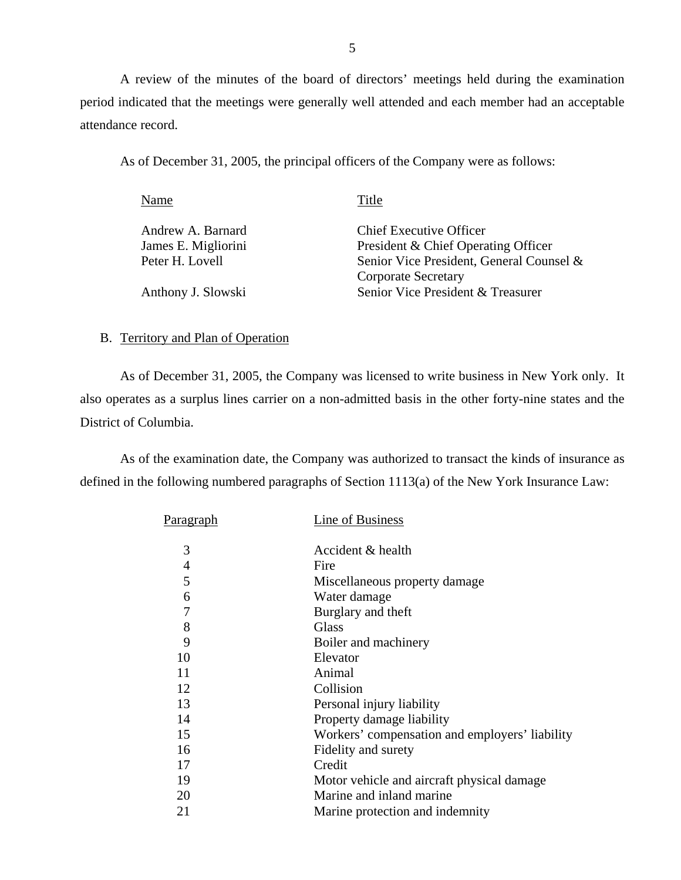A review of the minutes of the board of directors' meetings held during the examination period indicated that the meetings were generally well attended and each member had an acceptable attendance record.

As of December 31, 2005, the principal officers of the Company were as follows:

| Title                                    |
|------------------------------------------|
| Chief Executive Officer                  |
| President & Chief Operating Officer      |
| Senior Vice President, General Counsel & |
| <b>Corporate Secretary</b>               |
| Senior Vice President & Treasurer        |
|                                          |

## B. Territory and Plan of Operation

As of December 31, 2005, the Company was licensed to write business in New York only. It also operates as a surplus lines carrier on a non-admitted basis in the other forty-nine states and the District of Columbia.

As of the examination date, the Company was authorized to transact the kinds of insurance as defined in the following numbered paragraphs of Section 1113(a) of the New York Insurance Law:

| <u>Paragraph</u> | Line of Business                               |
|------------------|------------------------------------------------|
| 3                | Accident & health                              |
| 4                | Fire                                           |
| 5                | Miscellaneous property damage                  |
| 6                | Water damage                                   |
| 7                | Burglary and theft                             |
| 8                | Glass                                          |
| 9                | Boiler and machinery                           |
| 10               | Elevator                                       |
| 11               | Animal                                         |
| 12               | Collision                                      |
| 13               | Personal injury liability                      |
| 14               | Property damage liability                      |
| 15               | Workers' compensation and employers' liability |
| 16               | Fidelity and surety                            |
| 17               | Credit                                         |
| 19               | Motor vehicle and aircraft physical damage     |
| 20               | Marine and inland marine                       |
| 21               | Marine protection and indemnity                |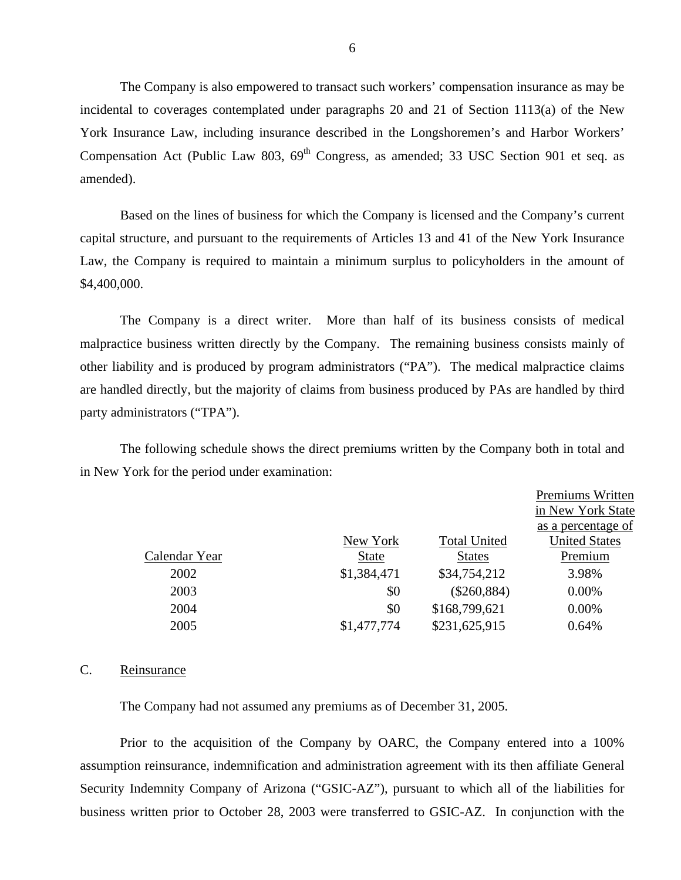The Company is also empowered to transact such workers' compensation insurance as may be incidental to coverages contemplated under paragraphs 20 and 21 of Section 1113(a) of the New York Insurance Law, including insurance described in the Longshoremen's and Harbor Workers' Compensation Act (Public Law 803,  $69<sup>th</sup>$  Congress, as amended; 33 USC Section 901 et seq. as amended).

Based on the lines of business for which the Company is licensed and the Company's current capital structure, and pursuant to the requirements of Articles 13 and 41 of the New York Insurance Law, the Company is required to maintain a minimum surplus to policyholders in the amount of \$4,400,000.

The Company is a direct writer. More than half of its business consists of medical malpractice business written directly by the Company. The remaining business consists mainly of other liability and is produced by program administrators ("PA"). The medical malpractice claims are handled directly, but the majority of claims from business produced by PAs are handled by third party administrators ("TPA").

The following schedule shows the direct premiums written by the Company both in total and in New York for the period under examination:

|               |              |                     | Premiums Written     |
|---------------|--------------|---------------------|----------------------|
|               |              |                     | in New York State    |
|               |              |                     | as a percentage of   |
|               | New York     | <b>Total United</b> | <b>United States</b> |
| Calendar Year | <b>State</b> | <b>States</b>       | Premium              |
| 2002          | \$1,384,471  | \$34,754,212        | 3.98%                |
| 2003          | \$0          | $(\$260,884)$       | $0.00\%$             |
| 2004          | \$0          | \$168,799,621       | $0.00\%$             |
| 2005          | \$1,477,774  | \$231,625,915       | 0.64%                |
|               |              |                     |                      |

#### C. Reinsurance

The Company had not assumed any premiums as of December 31, 2005.

Prior to the acquisition of the Company by OARC, the Company entered into a 100% assumption reinsurance, indemnification and administration agreement with its then affiliate General Security Indemnity Company of Arizona ("GSIC-AZ"), pursuant to which all of the liabilities for business written prior to October 28, 2003 were transferred to GSIC-AZ. In conjunction with the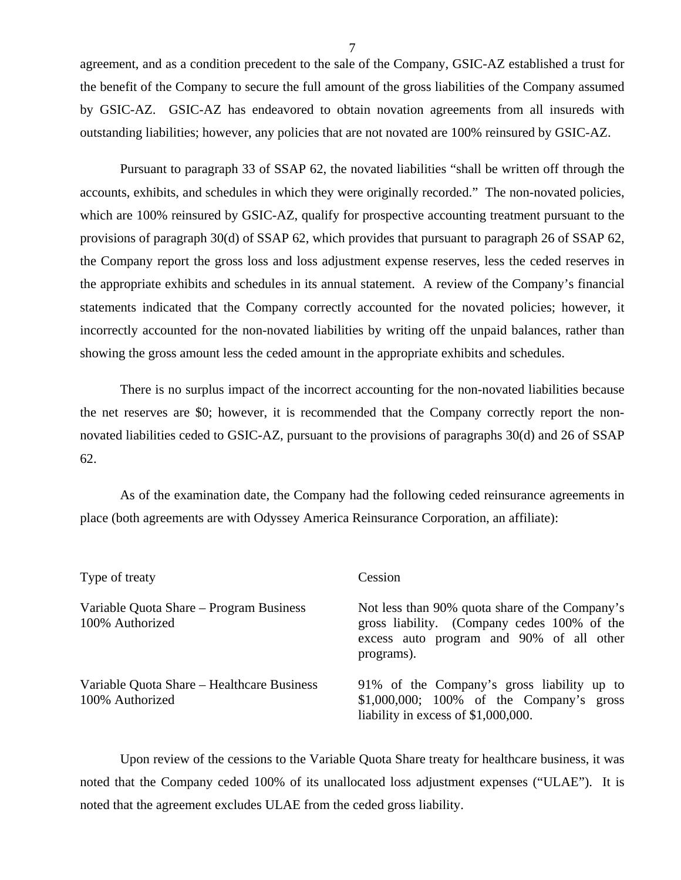agreement, and as a condition precedent to the sale of the Company, GSIC-AZ established a trust for the benefit of the Company to secure the full amount of the gross liabilities of the Company assumed by GSIC-AZ. GSIC-AZ has endeavored to obtain novation agreements from all insureds with outstanding liabilities; however, any policies that are not novated are 100% reinsured by GSIC-AZ.

Pursuant to paragraph 33 of SSAP 62, the novated liabilities "shall be written off through the accounts, exhibits, and schedules in which they were originally recorded." The non-novated policies, which are 100% reinsured by GSIC-AZ, qualify for prospective accounting treatment pursuant to the provisions of paragraph 30(d) of SSAP 62, which provides that pursuant to paragraph 26 of SSAP 62, the Company report the gross loss and loss adjustment expense reserves, less the ceded reserves in the appropriate exhibits and schedules in its annual statement. A review of the Company's financial statements indicated that the Company correctly accounted for the novated policies; however, it incorrectly accounted for the non-novated liabilities by writing off the unpaid balances, rather than showing the gross amount less the ceded amount in the appropriate exhibits and schedules.

There is no surplus impact of the incorrect accounting for the non-novated liabilities because the net reserves are \$0; however, it is recommended that the Company correctly report the nonnovated liabilities ceded to GSIC-AZ, pursuant to the provisions of paragraphs 30(d) and 26 of SSAP 62.

As of the examination date, the Company had the following ceded reinsurance agreements in place (both agreements are with Odyssey America Reinsurance Corporation, an affiliate):

| Type of treaty                                                | Cession                                                                                                                                                 |  |  |  |  |
|---------------------------------------------------------------|---------------------------------------------------------------------------------------------------------------------------------------------------------|--|--|--|--|
| Variable Quota Share – Program Business<br>100% Authorized    | Not less than 90% quota share of the Company's<br>gross liability. (Company cedes 100% of the<br>excess auto program and 90% of all other<br>programs). |  |  |  |  |
| Variable Quota Share – Healthcare Business<br>100% Authorized | 91% of the Company's gross liability up to<br>$$1,000,000; 100\%$ of the Company's gross<br>liability in excess of $$1,000,000$ .                       |  |  |  |  |

Upon review of the cessions to the Variable Quota Share treaty for healthcare business, it was noted that the Company ceded 100% of its unallocated loss adjustment expenses ("ULAE"). It is noted that the agreement excludes ULAE from the ceded gross liability.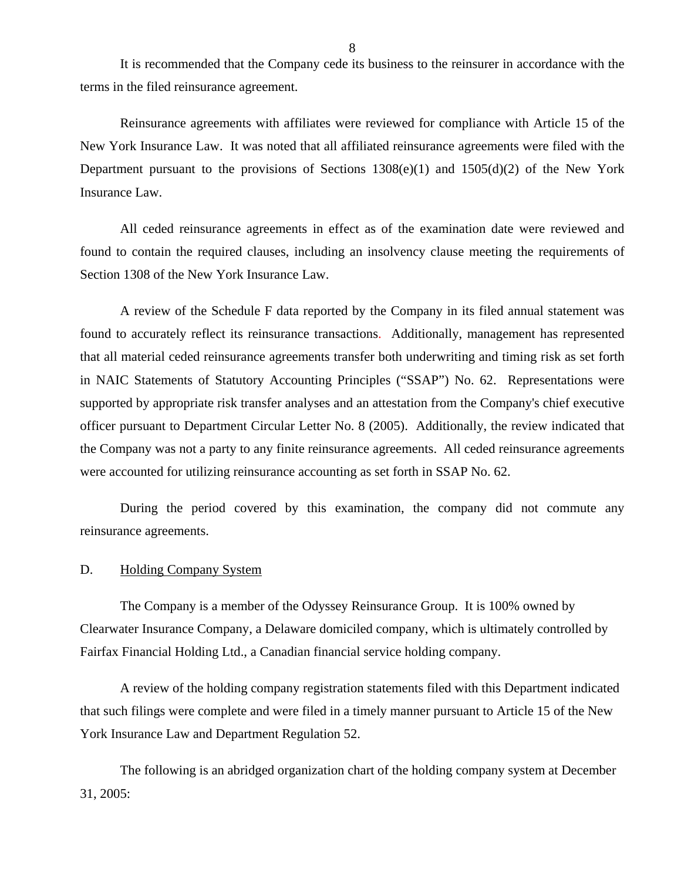<span id="page-9-0"></span>It is recommended that the Company cede its business to the reinsurer in accordance with the terms in the filed reinsurance agreement.

Reinsurance agreements with affiliates were reviewed for compliance with Article 15 of the New York Insurance Law. It was noted that all affiliated reinsurance agreements were filed with the Department pursuant to the provisions of Sections  $1308(e)(1)$  and  $1505(d)(2)$  of the New York Insurance Law.

All ceded reinsurance agreements in effect as of the examination date were reviewed and found to contain the required clauses, including an insolvency clause meeting the requirements of Section 1308 of the New York Insurance Law.

were accounted for utilizing reinsurance accounting as set forth in SSAP No. 62. A review of the Schedule F data reported by the Company in its filed annual statement was found to accurately reflect its reinsurance transactions. Additionally, management has represented that all material ceded reinsurance agreements transfer both underwriting and timing risk as set forth in NAIC Statements of Statutory Accounting Principles ("SSAP") No. 62. Representations were supported by appropriate risk transfer analyses and an attestation from the Company's chief executive officer pursuant to Department Circular Letter No. 8 (2005). Additionally, the review indicated that the Company was not a party to any finite reinsurance agreements. All ceded reinsurance agreements

During the period covered by this examination, the company did not commute any reinsurance agreements.

#### D. Holding Company System

The Company is a member of the Odyssey Reinsurance Group. It is 100% owned by Clearwater Insurance Company, a Delaware domiciled company, which is ultimately controlled by Fairfax Financial Holding Ltd., a Canadian financial service holding company.

A review of the holding company registration statements filed with this Department indicated that such filings were complete and were filed in a timely manner pursuant to Article 15 of the New York Insurance Law and Department Regulation 52.

The following is an abridged organization chart of the holding company system at December 31, 2005: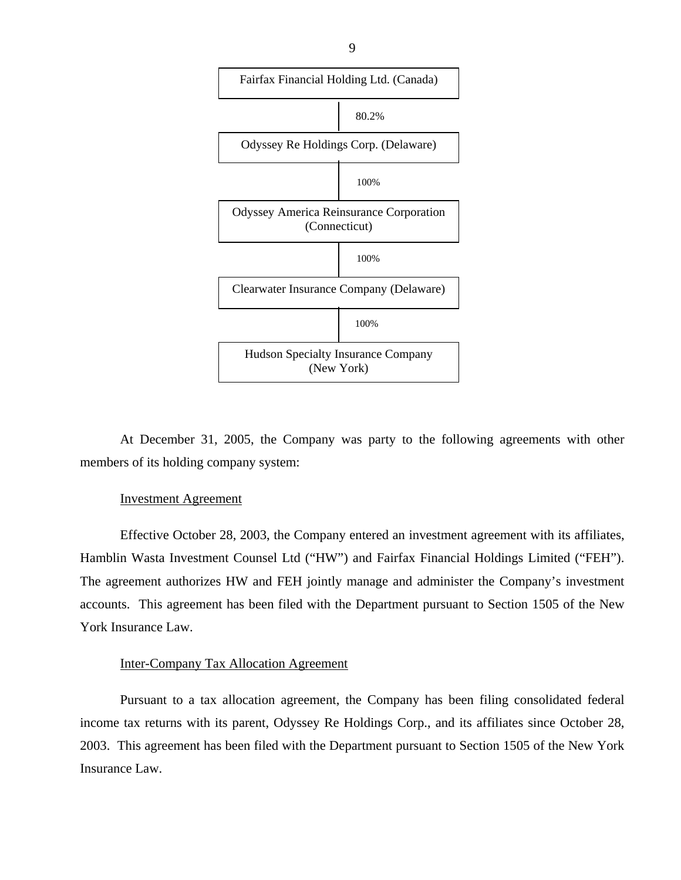

At December 31, 2005, the Company was party to the following agreements with other members of its holding company system:

#### Investment Agreement

Effective October 28, 2003, the Company entered an investment agreement with its affiliates, Hamblin Wasta Investment Counsel Ltd ("HW") and Fairfax Financial Holdings Limited ("FEH"). The agreement authorizes HW and FEH jointly manage and administer the Company's investment accounts. This agreement has been filed with the Department pursuant to Section 1505 of the New York Insurance Law.

#### Inter-Company Tax Allocation Agreement

Pursuant to a tax allocation agreement, the Company has been filing consolidated federal income tax returns with its parent, Odyssey Re Holdings Corp., and its affiliates since October 28, 2003. This agreement has been filed with the Department pursuant to Section 1505 of the New York Insurance Law.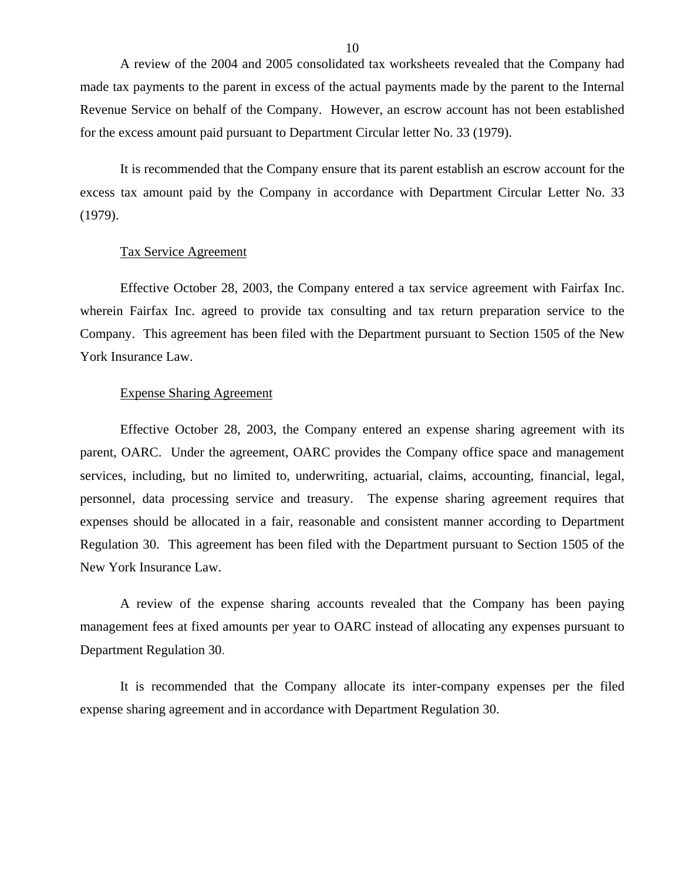<span id="page-11-0"></span>A review of the 2004 and 2005 consolidated tax worksheets revealed that the Company had made tax payments to the parent in excess of the actual payments made by the parent to the Internal Revenue Service on behalf of the Company. However, an escrow account has not been established for the excess amount paid pursuant to Department Circular letter No. 33 (1979).

It is recommended that the Company ensure that its parent establish an escrow account for the excess tax amount paid by the Company in accordance with Department Circular Letter No. 33 (1979).

#### Tax Service Agreement

Effective October 28, 2003, the Company entered a tax service agreement with Fairfax Inc. wherein Fairfax Inc. agreed to provide tax consulting and tax return preparation service to the Company. This agreement has been filed with the Department pursuant to Section 1505 of the New York Insurance Law.

#### Expense Sharing Agreement

Effective October 28, 2003, the Company entered an expense sharing agreement with its parent, OARC. Under the agreement, OARC provides the Company office space and management services, including, but no limited to, underwriting, actuarial, claims, accounting, financial, legal, personnel, data processing service and treasury. The expense sharing agreement requires that expenses should be allocated in a fair, reasonable and consistent manner according to Department Regulation 30. This agreement has been filed with the Department pursuant to Section 1505 of the New York Insurance Law.

A review of the expense sharing accounts revealed that the Company has been paying management fees at fixed amounts per year to OARC instead of allocating any expenses pursuant to Department Regulation 30.

It is recommended that the Company allocate its inter-company expenses per the filed expense sharing agreement and in accordance with Department Regulation 30.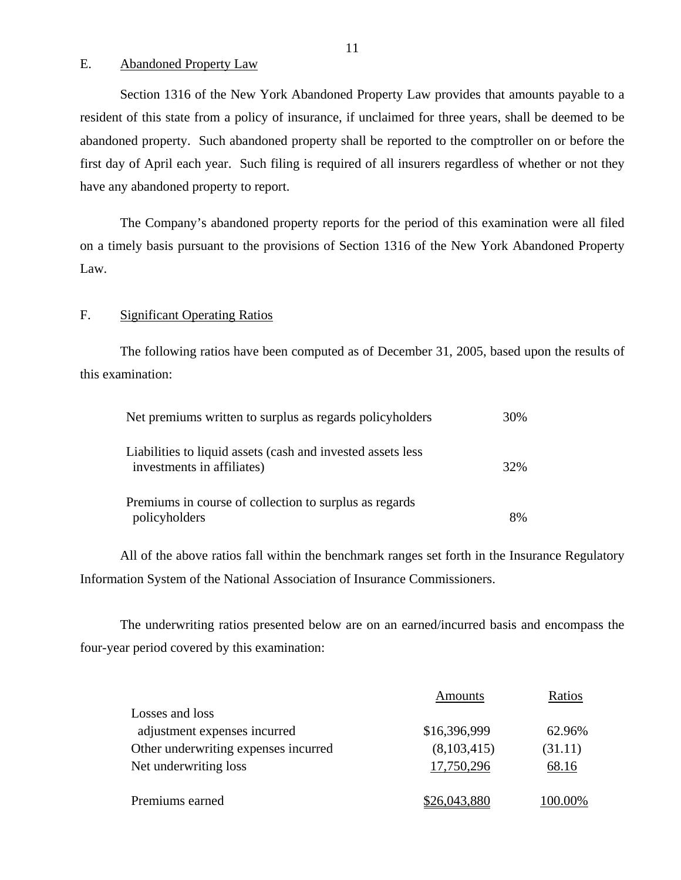## E. Abandoned Property Law

Section 1316 of the New York Abandoned Property Law provides that amounts payable to a resident of this state from a policy of insurance, if unclaimed for three years, shall be deemed to be abandoned property. Such abandoned property shall be reported to the comptroller on or before the first day of April each year. Such filing is required of all insurers regardless of whether or not they have any abandoned property to report.

The Company's abandoned property reports for the period of this examination were all filed on a timely basis pursuant to the provisions of Section 1316 of the New York Abandoned Property Law.

## F. Significant Operating Ratios

The following ratios have been computed as of December 31, 2005, based upon the results of this examination:

| Net premiums written to surplus as regards policyholders                                  | 30% |
|-------------------------------------------------------------------------------------------|-----|
| Liabilities to liquid assets (cash and invested assets less<br>investments in affiliates) | 32% |
| Premiums in course of collection to surplus as regards<br>policyholders                   | 8%  |

All of the above ratios fall within the benchmark ranges set forth in the Insurance Regulatory Information System of the National Association of Insurance Commissioners.

The underwriting ratios presented below are on an earned/incurred basis and encompass the four-year period covered by this examination:

|                                      | Amounts      | Ratios  |
|--------------------------------------|--------------|---------|
| Losses and loss                      |              |         |
| adjustment expenses incurred         | \$16,396,999 | 62.96%  |
| Other underwriting expenses incurred | (8,103,415)  | (31.11) |
| Net underwriting loss                | 17,750,296   | 68.16   |
| Premiums earned                      | \$26,043,880 | 100.00% |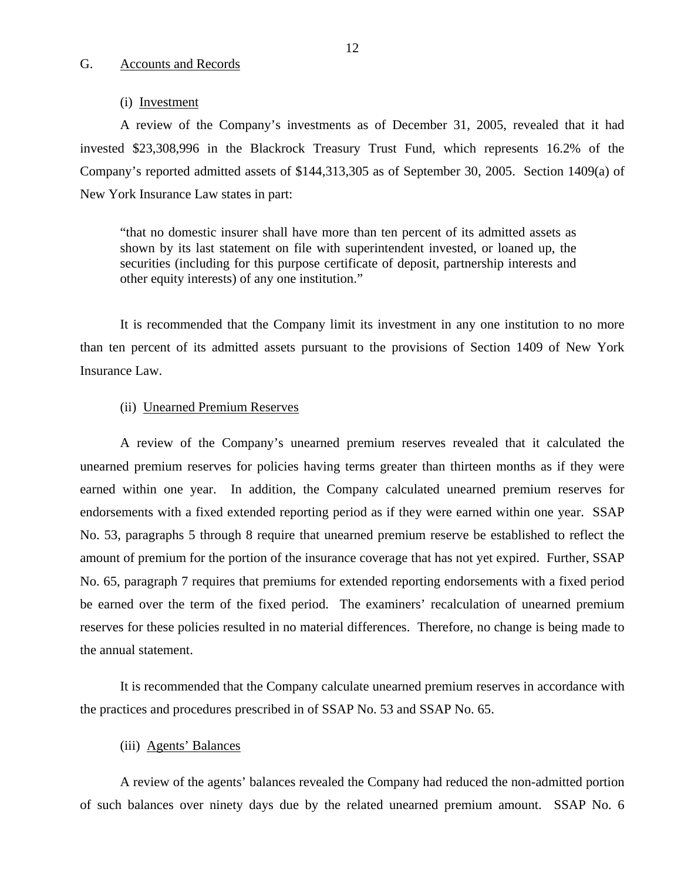## <span id="page-13-0"></span>G. Accounts and Records

#### (i) Investment

A review of the Company's investments as of December 31, 2005, revealed that it had invested \$23,308,996 in the Blackrock Treasury Trust Fund, which represents 16.2% of the Company's reported admitted assets of \$144,313,305 as of September 30, 2005. Section 1409(a) of New York Insurance Law states in part:

"that no domestic insurer shall have more than ten percent of its admitted assets as shown by its last statement on file with superintendent invested, or loaned up, the securities (including for this purpose certificate of deposit, partnership interests and other equity interests) of any one institution."

It is recommended that the Company limit its investment in any one institution to no more than ten percent of its admitted assets pursuant to the provisions of Section 1409 of New York Insurance Law.

#### (ii) Unearned Premium Reserves

A review of the Company's unearned premium reserves revealed that it calculated the unearned premium reserves for policies having terms greater than thirteen months as if they were earned within one year. In addition, the Company calculated unearned premium reserves for endorsements with a fixed extended reporting period as if they were earned within one year. SSAP No. 53, paragraphs 5 through 8 require that unearned premium reserve be established to reflect the amount of premium for the portion of the insurance coverage that has not yet expired. Further, SSAP No. 65, paragraph 7 requires that premiums for extended reporting endorsements with a fixed period be earned over the term of the fixed period. The examiners' recalculation of unearned premium reserves for these policies resulted in no material differences. Therefore, no change is being made to the annual statement.

It is recommended that the Company calculate unearned premium reserves in accordance with the practices and procedures prescribed in of SSAP No. 53 and SSAP No. 65.

#### (iii) Agents' Balances

A review of the agents' balances revealed the Company had reduced the non-admitted portion of such balances over ninety days due by the related unearned premium amount. SSAP No. 6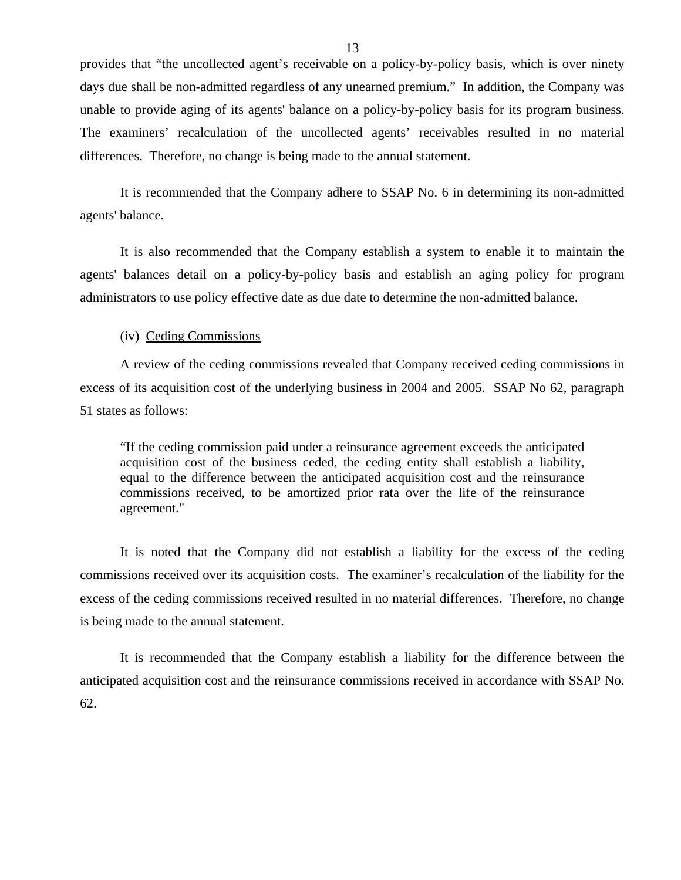provides that "the uncollected agent's receivable on a policy-by-policy basis, which is over ninety days due shall be non-admitted regardless of any unearned premium." In addition, the Company was unable to provide aging of its agents' balance on a policy-by-policy basis for its program business. The examiners' recalculation of the uncollected agents' receivables resulted in no material differences. Therefore, no change is being made to the annual statement.

It is recommended that the Company adhere to SSAP No. 6 in determining its non-admitted agents' balance.

It is also recommended that the Company establish a system to enable it to maintain the agents' balances detail on a policy-by-policy basis and establish an aging policy for program administrators to use policy effective date as due date to determine the non-admitted balance.

#### (iv) Ceding Commissions

A review of the ceding commissions revealed that Company received ceding commissions in excess of its acquisition cost of the underlying business in 2004 and 2005. SSAP No 62, paragraph 51 states as follows:

"If the ceding commission paid under a reinsurance agreement exceeds the anticipated acquisition cost of the business ceded, the ceding entity shall establish a liability, equal to the difference between the anticipated acquisition cost and the reinsurance commissions received, to be amortized prior rata over the life of the reinsurance agreement."

It is noted that the Company did not establish a liability for the excess of the ceding commissions received over its acquisition costs. The examiner's recalculation of the liability for the excess of the ceding commissions received resulted in no material differences. Therefore, no change is being made to the annual statement.

It is recommended that the Company establish a liability for the difference between the anticipated acquisition cost and the reinsurance commissions received in accordance with SSAP No. 62.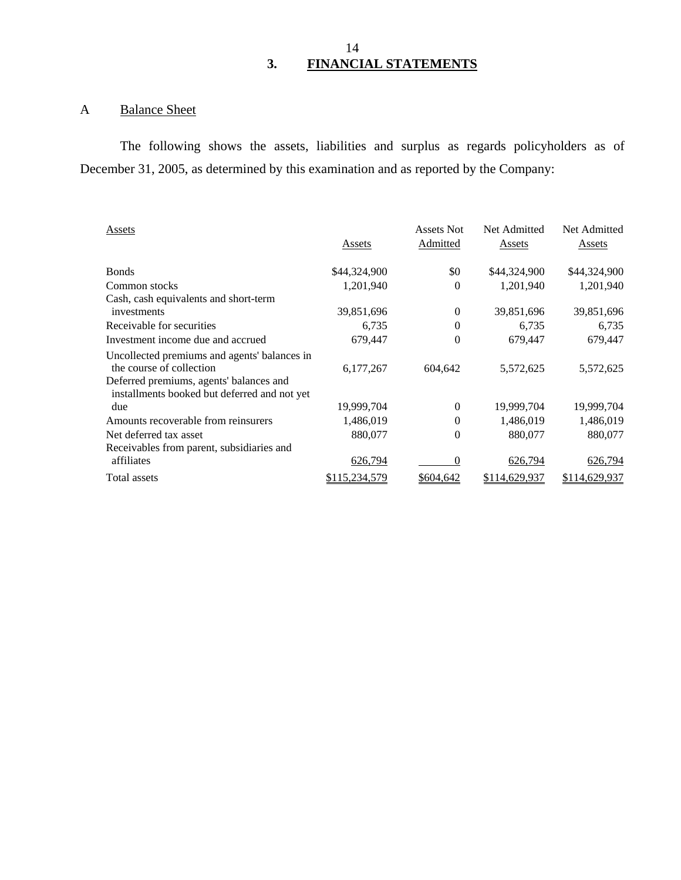## A Balance Sheet

The following shows the assets, liabilities and surplus as regards policyholders as of December 31, 2005, as determined by this examination and as reported by the Company:

| Assets                                       |               | Assets Not | Net Admitted  | Net Admitted  |
|----------------------------------------------|---------------|------------|---------------|---------------|
|                                              | Assets        | Admitted   | Assets        | Assets        |
| <b>Bonds</b>                                 | \$44,324,900  | \$0        | \$44,324,900  | \$44,324,900  |
| Common stocks                                | 1,201,940     | 0          | 1,201,940     | 1,201,940     |
| Cash, cash equivalents and short-term        |               |            |               |               |
| investments                                  | 39,851,696    | $\theta$   | 39,851,696    | 39,851,696    |
| Receivable for securities                    | 6,735         | $\theta$   | 6,735         | 6,735         |
| Investment income due and accrued            | 679,447       | 0          | 679,447       | 679,447       |
| Uncollected premiums and agents' balances in |               |            |               |               |
| the course of collection                     | 6,177,267     | 604,642    | 5,572,625     | 5,572,625     |
| Deferred premiums, agents' balances and      |               |            |               |               |
| installments booked but deferred and not yet |               |            |               |               |
| due                                          | 19,999,704    | $\Omega$   | 19,999,704    | 19,999,704    |
| Amounts recoverable from reinsurers          | 1,486,019     | $\theta$   | 1,486,019     | 1,486,019     |
| Net deferred tax asset                       | 880,077       | $\theta$   | 880,077       | 880,077       |
| Receivables from parent, subsidiaries and    |               |            |               |               |
| affiliates                                   | 626,794       | 0          | 626,794       | 626,794       |
| Total assets                                 | \$115,234,579 | \$604,642  | \$114,629,937 | \$114,629,937 |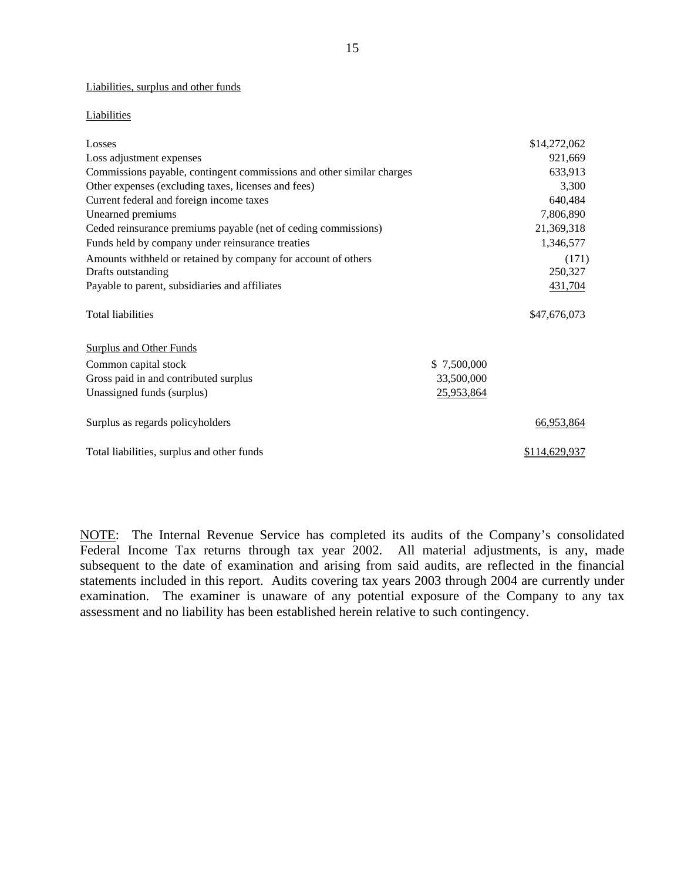#### Liabilities, surplus and other funds

#### Liabilities

| Liabilities, surplus and other funds                                  |             |               |
|-----------------------------------------------------------------------|-------------|---------------|
| Liabilities                                                           |             |               |
| Losses                                                                |             | \$14,272,062  |
| Loss adjustment expenses                                              |             | 921,669       |
| Commissions payable, contingent commissions and other similar charges |             | 633,913       |
| Other expenses (excluding taxes, licenses and fees)                   |             | 3,300         |
| Current federal and foreign income taxes                              |             | 640,484       |
| Unearned premiums                                                     |             | 7,806,890     |
| Ceded reinsurance premiums payable (net of ceding commissions)        |             | 21,369,318    |
| Funds held by company under reinsurance treaties                      |             | 1,346,577     |
| Amounts withheld or retained by company for account of others         |             | (171)         |
| Drafts outstanding                                                    |             | 250,327       |
| Payable to parent, subsidiaries and affiliates                        |             | 431,704       |
| <b>Total liabilities</b>                                              |             | \$47,676,073  |
| <b>Surplus and Other Funds</b>                                        |             |               |
| Common capital stock                                                  | \$7,500,000 |               |
| Gross paid in and contributed surplus                                 | 33,500,000  |               |
| Unassigned funds (surplus)                                            | 25,953,864  |               |
| Surplus as regards policyholders                                      |             | 66,953,864    |
| Total liabilities, surplus and other funds                            |             | \$114,629,937 |

NOTE: The Internal Revenue Service has completed its audits of the Company's consolidated Federal Income Tax returns through tax year 2002. All material adjustments, is any, made subsequent to the date of examination and arising from said audits, are reflected in the financial statements included in this report. Audits covering tax years 2003 through 2004 are currently under examination. The examiner is unaware of any potential exposure of the Company to any tax assessment and no liability has been established herein relative to such contingency.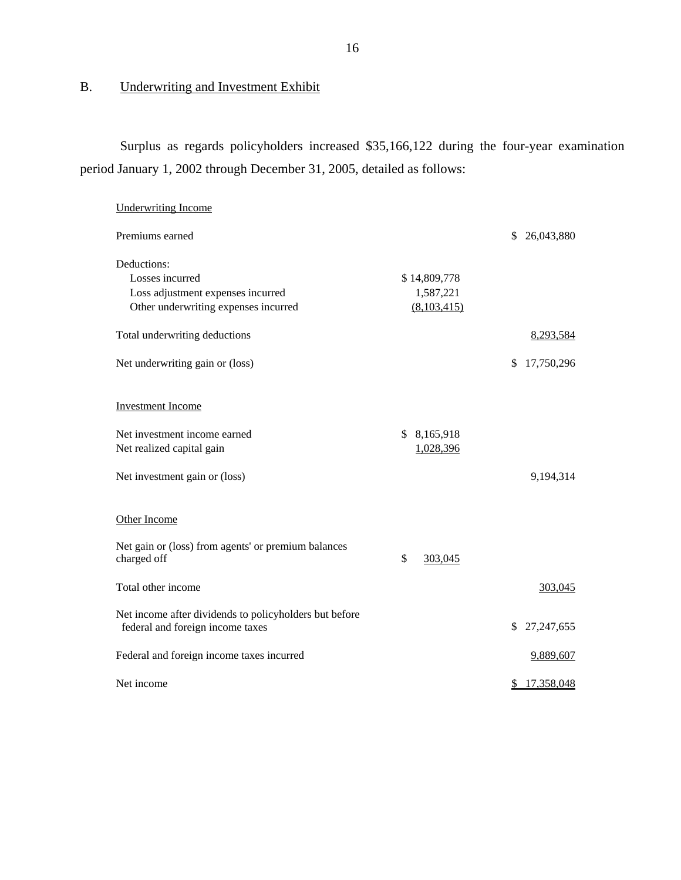## B. Underwriting and Investment Exhibit

Surplus as regards policyholders increased \$35,166,122 during the four-year examination period January 1, 2002 through December 31, 2005, detailed as follows:

| <b>Underwriting Income</b>                                                                 |               |                    |
|--------------------------------------------------------------------------------------------|---------------|--------------------|
| Premiums earned                                                                            |               | 26,043,880<br>S.   |
| Deductions:<br>Losses incurred                                                             | \$14,809,778  |                    |
| Loss adjustment expenses incurred                                                          | 1,587,221     |                    |
| Other underwriting expenses incurred                                                       | (8,103,415)   |                    |
| Total underwriting deductions                                                              |               | 8,293,584          |
| Net underwriting gain or (loss)                                                            |               | 17,750,296<br>\$   |
| <b>Investment Income</b>                                                                   |               |                    |
| Net investment income earned                                                               | \$8,165,918   |                    |
| Net realized capital gain                                                                  | 1,028,396     |                    |
| Net investment gain or (loss)                                                              |               | 9,194,314          |
| Other Income                                                                               |               |                    |
| Net gain or (loss) from agents' or premium balances<br>charged off                         | \$<br>303,045 |                    |
| Total other income                                                                         |               | 303,045            |
| Net income after dividends to policyholders but before<br>federal and foreign income taxes |               | 27, 247, 655<br>\$ |
| Federal and foreign income taxes incurred                                                  |               | 9,889,607          |
| Net income                                                                                 |               | 17,358,048<br>\$   |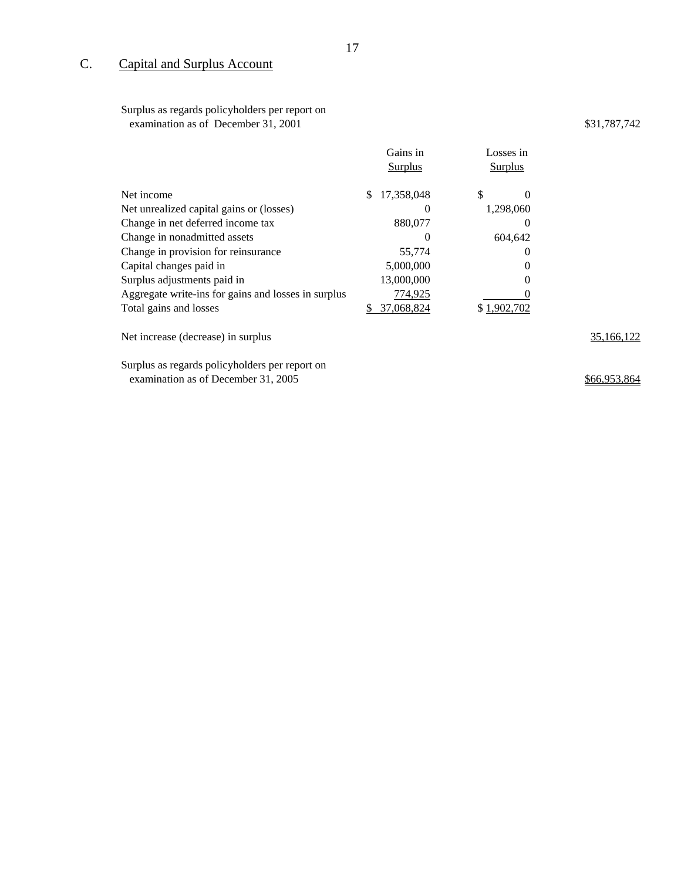## C. Capital and Surplus Account

 Surplus as regards policyholders per report on examination as of December 31, 2001 \$31,787,742

|                                                     |    | Gains in<br><b>Surplus</b> | Losses in<br><b>Surplus</b> |          |            |
|-----------------------------------------------------|----|----------------------------|-----------------------------|----------|------------|
| Net income                                          | \$ | 17,358,048                 | \$                          | 0        |            |
| Net unrealized capital gains or (losses)            |    | $\theta$                   | 1,298,060                   |          |            |
| Change in net deferred income tax                   |    | 880,077                    |                             | $\theta$ |            |
| Change in nonadmitted assets                        |    | O                          |                             | 604,642  |            |
| Change in provision for reinsurance                 |    | 55,774                     |                             | $\theta$ |            |
| Capital changes paid in                             |    | 5,000,000                  |                             | $\theta$ |            |
| Surplus adjustments paid in                         |    | 13,000,000                 |                             | 0        |            |
| Aggregate write-ins for gains and losses in surplus |    | 774,925                    |                             |          |            |
| Total gains and losses                              | S  | 37,068,824                 | \$1,902,702                 |          |            |
| Net increase (decrease) in surplus                  |    |                            |                             |          | 35.166.122 |

Surplus as regards policyholders per report on examination as of December 31, 2005 **\$66,953,864**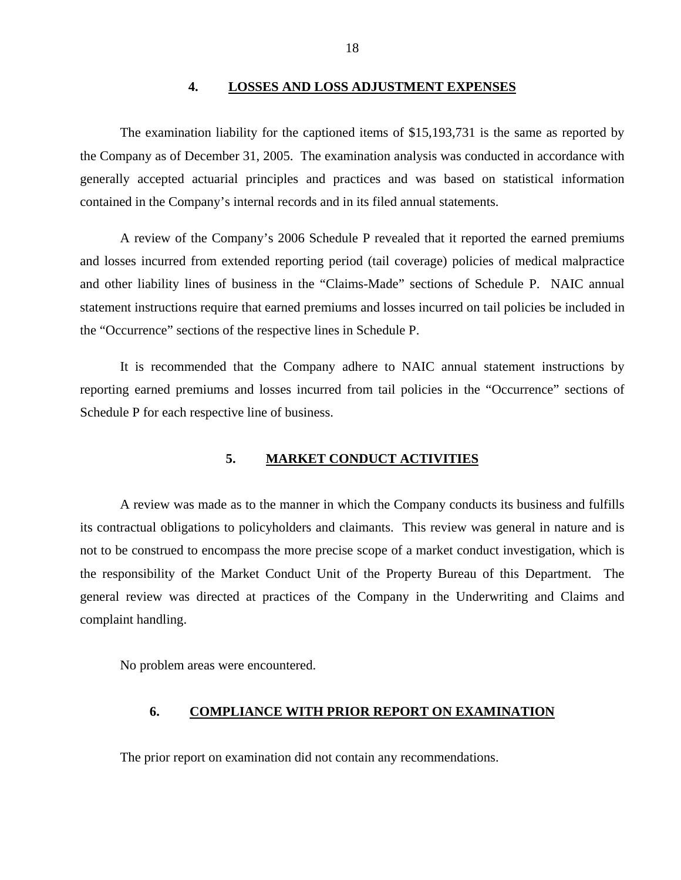#### **4. LOSSES AND LOSS ADJUSTMENT EXPENSES**

<span id="page-19-0"></span>The examination liability for the captioned items of \$15,193,731 is the same as reported by the Company as of December 31, 2005. The examination analysis was conducted in accordance with generally accepted actuarial principles and practices and was based on statistical information contained in the Company's internal records and in its filed annual statements.

A review of the Company's 2006 Schedule P revealed that it reported the earned premiums and losses incurred from extended reporting period (tail coverage) policies of medical malpractice and other liability lines of business in the "Claims-Made" sections of Schedule P. NAIC annual statement instructions require that earned premiums and losses incurred on tail policies be included in the "Occurrence" sections of the respective lines in Schedule P.

It is recommended that the Company adhere to NAIC annual statement instructions by reporting earned premiums and losses incurred from tail policies in the "Occurrence" sections of Schedule P for each respective line of business.

#### **5. MARKET CONDUCT ACTIVITIES**

A review was made as to the manner in which the Company conducts its business and fulfills its contractual obligations to policyholders and claimants. This review was general in nature and is not to be construed to encompass the more precise scope of a market conduct investigation, which is the responsibility of the Market Conduct Unit of the Property Bureau of this Department. The general review was directed at practices of the Company in the Underwriting and Claims and complaint handling.

No problem areas were encountered.

#### **6. COMPLIANCE WITH PRIOR REPORT ON EXAMINATION**

The prior report on examination did not contain any recommendations.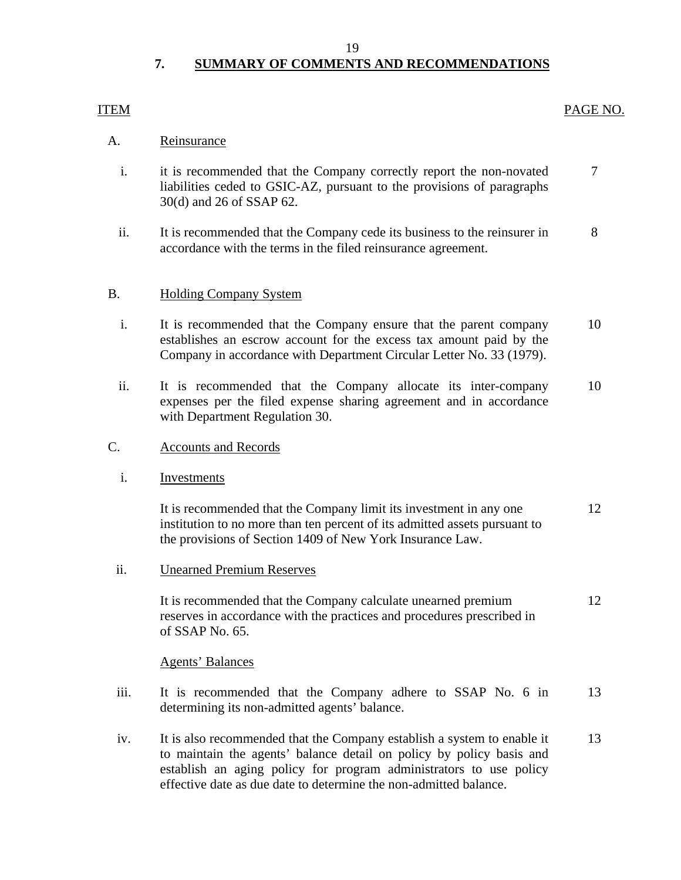#### 19

## **7. SUMMARY OF COMMENTS AND RECOMMENDATIONS**

## ITEM PAGE NO.

## A. Reinsurance

- i. it is recommended that the Company correctly report the non-novated  $\overline{7}$ liabilities ceded to GSIC-AZ, pursuant to the provisions of paragraphs 30(d) and 26 of SSAP 62.
- ii. It is recommended that the Company cede its business to the reinsurer in 8 accordance with the terms in the filed reinsurance agreement.

## B. Holding Company System

- i. It is recommended that the Company ensure that the parent company 10 establishes an escrow account for the excess tax amount paid by the Company in accordance with Department Circular Letter No. 33 (1979).
- ii. It is recommended that the Company allocate its inter-company 10 expenses per the filed expense sharing agreement and in accordance with Department Regulation 30.
- C. Accounts and Records
	- i. Investments

It is recommended that the Company limit its investment in any one 12 institution to no more than ten percent of its admitted assets pursuant to the provisions of Section 1409 of New York Insurance Law.

ii. Unearned Premium Reserves

It is recommended that the Company calculate unearned premium 12 reserves in accordance with the practices and procedures prescribed in of SSAP No. 65.

## Agents' Balances

- iii. It is recommended that the Company adhere to SSAP No. 6 in 13 determining its non-admitted agents' balance.
- iv. It is also recommended that the Company establish a system to enable it 13 to maintain the agents' balance detail on policy by policy basis and establish an aging policy for program administrators to use policy effective date as due date to determine the non-admitted balance.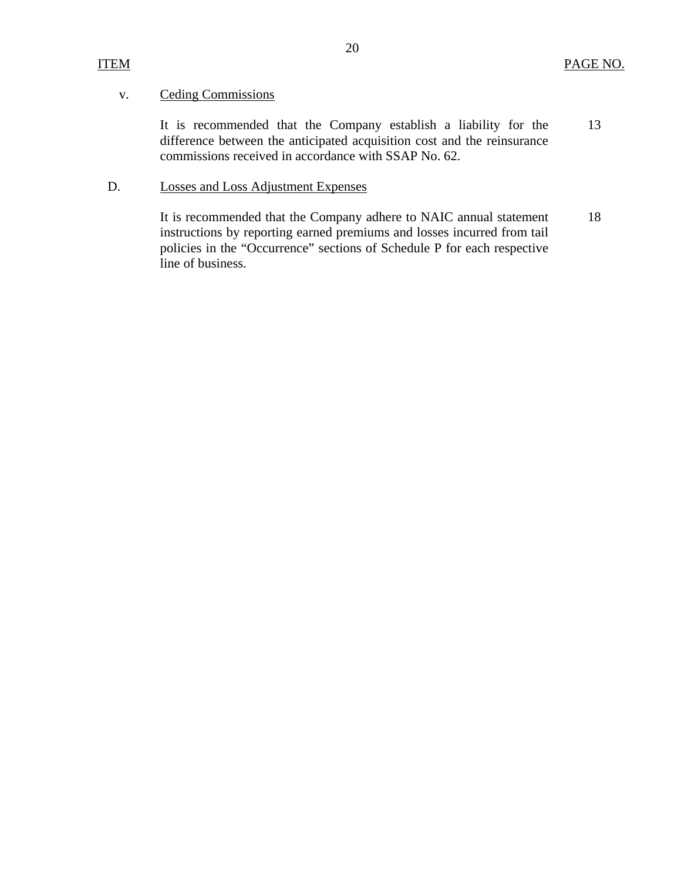## v. Ceding Commissions

It is recommended that the Company establish a liability for the difference between the anticipated acquisition cost and the reinsurance commissions received in accordance with SSAP No. 62. 13

## D. Losses and Loss Adjustment Expenses

It is recommended that the Company adhere to NAIC annual statement instructions by reporting earned premiums and losses incurred from tail policies in the "Occurrence" sections of Schedule P for each respective line of business. 18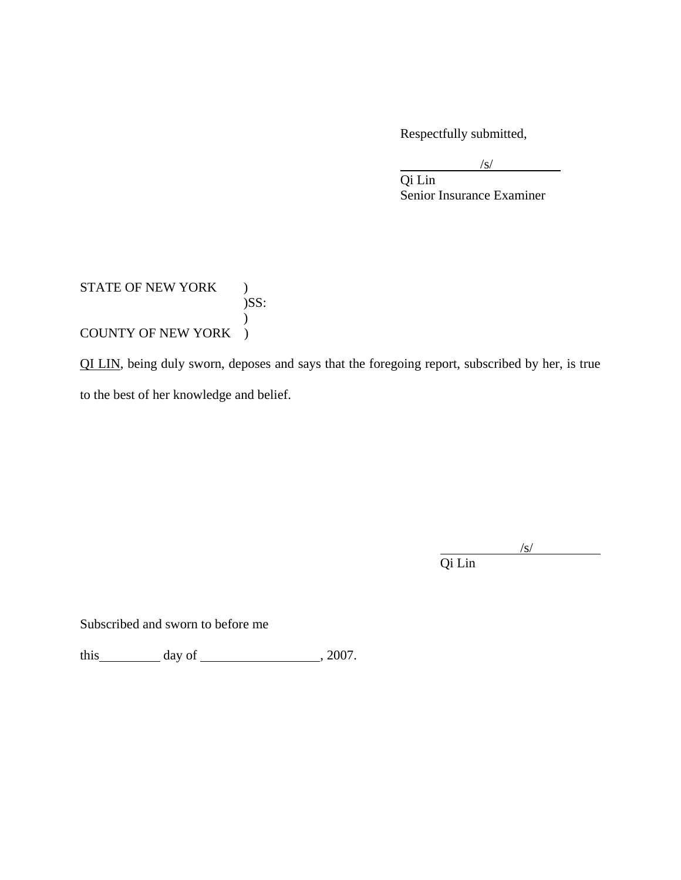Respectfully submitted,

 $\sqrt{s}$  $\sqrt{s}$ /s/

 Qi Lin Senior Insurance Examiner

## STATE OF NEW YORK )  $)$ SS:  $\mathcal{L}$ COUNTY OF NEW YORK )

QI LIN, being duly sworn, deposes and says that the foregoing report, subscribed by her, is true to the best of her knowledge and belief.

Qi Lin /s/ Qi Lin

 $\sqrt{s}$ 

Subscribed and sworn to before me

this  $\qquad \qquad \text{day of} \qquad \qquad .2007.$